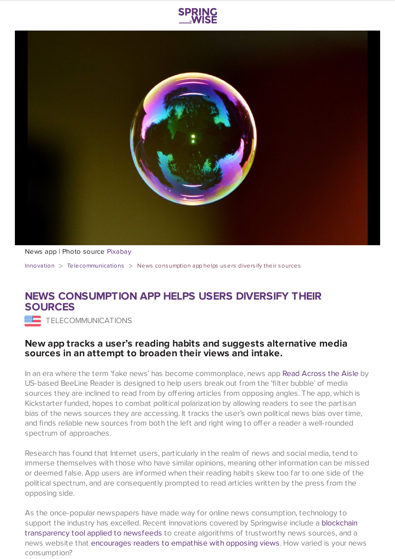



News app | Photo source [Pixabay](https://pixabay.com/en/soap-bubble-colorful-ball-824558/)

[Innovation](https://www.springwise.com/search?type=innovation) > [Telecommunications](https://www.springwise.com/search?type=innovation§or=telecoms-tech) > News consumption app helps users divers ify their sources

## **NEWS CONSUMPTION APP HELPS USERS DIVERSIFY THEIR SOURCES**

**WE TELECOMMUNICATIONS** 

## **New app tracks a user's reading habits and suggests alternative media sources in an attempt to broaden their views and intake.**

In an era where the term 'fake news' has become commonplace, news app Read [Across](http://www.readacrosstheaisle.com/) the Aisle by US-based BeeLine Reader is designed to help users break out from the 'filter bubble' of media sources they are inclined to read from by offering articles from opposing angles. The app, which is Kickstarter funded, hopes to combat political polarization by allowing readers to see the partisan bias of the news sources they are accessing. It tracks the user's own political news bias over time, and finds reliable new sources from both the left and right wing to offer a reader a well-rounded spectrum of approaches.

Research has found that Internet users, particularly in the realm of news and social media, tend to immerse themselves with those who have similar opinions, meaning other information can be missed or deemed false. App users are informed when their reading habits skew too far to one side of the political spectrum, and are consequently prompted to read articles written by the press from the opposing side.

As the once-popular newspapers have made way for online news consumption, technology to support the industry has excelled. Recent innovations covered by Springwise include a blockchain [transparency](https://www.springwise.com/blockchain-transparency-applied-newsfeeds/) tool applied to newsfeeds to create algorithms of trustworthy news sources, and a news website that [encourages](https://www.springwise.com/news-site-created-break-online-echo-chambers/) readers to empathise with opposing views. How varied is your news consumption?